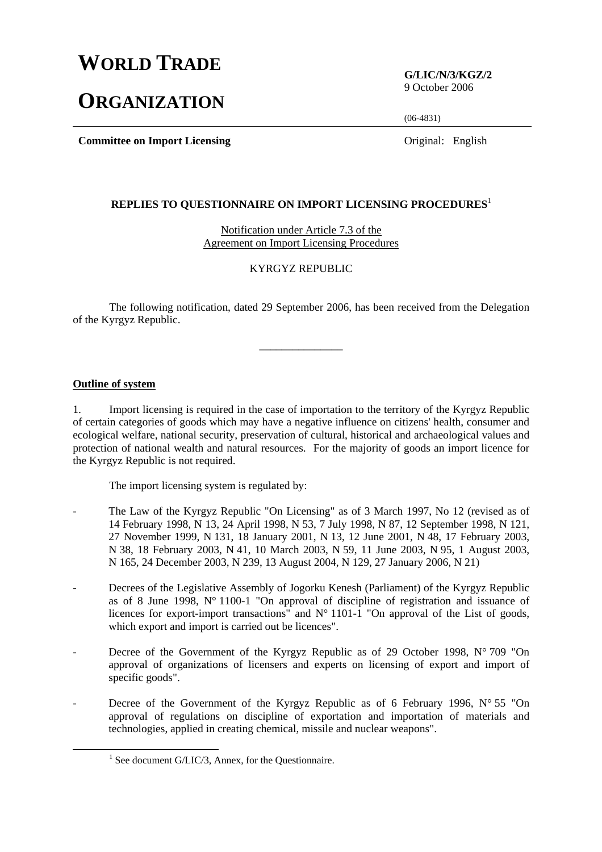## **WORLD TRADE**

# **ORGANIZATION**

**G/LIC/N/3/KGZ/2**  9 October 2006

(06-4831)

**Committee on Import Licensing** Original: English

#### **REPLIES TO QUESTIONNAIRE ON IMPORT LICENSING PROCEDURES**<sup>1</sup>

Notification under Article 7.3 of the Agreement on Import Licensing Procedures

### KYRGYZ REPUBLIC

 The following notification, dated 29 September 2006, has been received from the Delegation of the Kyrgyz Republic.

\_\_\_\_\_\_\_\_\_\_\_\_\_\_\_

#### **Outline of system**

1. Import licensing is required in the case of importation to the territory of the Kyrgyz Republic of certain categories of goods which may have a negative influence on citizens' health, consumer and ecological welfare, national security, preservation of cultural, historical and archaeological values and protection of national wealth and natural resources. For the majority of goods an import licence for the Kyrgyz Republic is not required.

The import licensing system is regulated by:

- The Law of the Kyrgyz Republic "On Licensing" as of 3 March 1997, No 12 (revised as of 14 February 1998, N 13, 24 April 1998, N 53, 7 July 1998, N 87, 12 September 1998, N 121, 27 November 1999, N 131, 18 January 2001, N 13, 12 June 2001, N 48, 17 February 2003, N 38, 18 February 2003, N 41, 10 March 2003, N 59, 11 June 2003, N 95, 1 August 2003, N 165, 24 December 2003, N 239, 13 August 2004, N 129, 27 January 2006, N 21)
- Decrees of the Legislative Assembly of Jogorku Kenesh (Parliament) of the Kyrgyz Republic as of 8 June 1998, N° 1100-1 "On approval of discipline of registration and issuance of licences for export-import transactions" and N° 1101-1 "On approval of the List of goods, which export and import is carried out be licences".
- Decree of the Government of the Kyrgyz Republic as of 29 October 1998,  $N^{\circ}$  709 "On approval of organizations of licensers and experts on licensing of export and import of specific goods".
- Decree of the Government of the Kyrgyz Republic as of 6 February 1996,  $N^{\circ}$  55 "On approval of regulations on discipline of exportation and importation of materials and technologies, applied in creating chemical, missile and nuclear weapons".

 $\frac{1}{1}$  $<sup>1</sup>$  See document G/LIC/3, Annex, for the Questionnaire.</sup>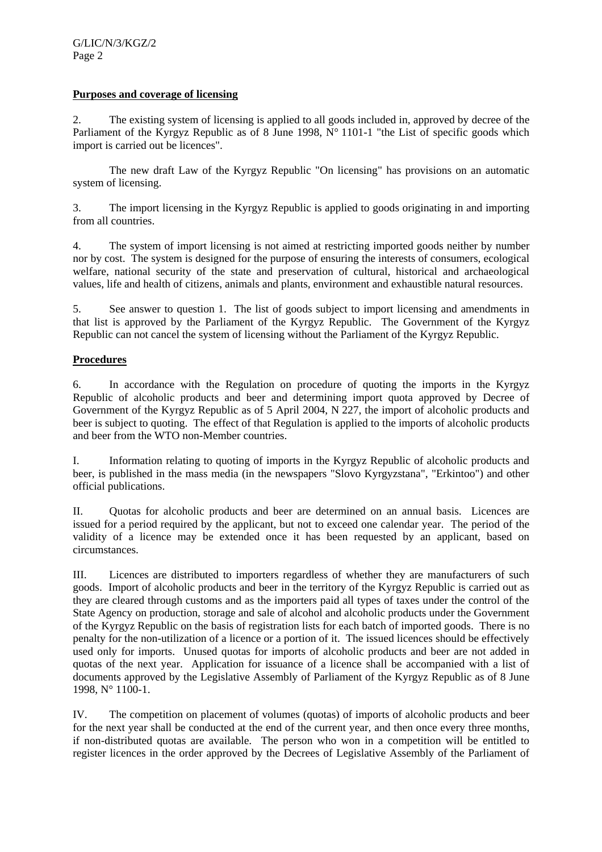### **Purposes and coverage of licensing**

2. The existing system of licensing is applied to all goods included in, approved by decree of the Parliament of the Kyrgyz Republic as of 8 June 1998,  $N^{\circ}$  1101-1 "the List of specific goods which import is carried out be licences".

The new draft Law of the Kyrgyz Republic "On licensing" has provisions on an automatic system of licensing.

3. The import licensing in the Kyrgyz Republic is applied to goods originating in and importing from all countries.

4. The system of import licensing is not aimed at restricting imported goods neither by number nor by cost. The system is designed for the purpose of ensuring the interests of consumers, ecological welfare, national security of the state and preservation of cultural, historical and archaeological values, life and health of citizens, animals and plants, environment and exhaustible natural resources.

5. See answer to question 1. The list of goods subject to import licensing and amendments in that list is approved by the Parliament of the Kyrgyz Republic. The Government of the Kyrgyz Republic can not cancel the system of licensing without the Parliament of the Kyrgyz Republic.

### **Procedures**

6. In accordance with the Regulation on procedure of quoting the imports in the Kyrgyz Republic of alcoholic products and beer and determining import quota approved by Decree of Government of the Kyrgyz Republic as of 5 April 2004, N 227, the import of alcoholic products and beer is subject to quoting. The effect of that Regulation is applied to the imports of alcoholic products and beer from the WTO non-Member countries.

I. Information relating to quoting of imports in the Kyrgyz Republic of alcoholic products and beer, is published in the mass media (in the newspapers "Slovo Kyrgyzstana", "Erkintoo") and other official publications.

II. Quotas for alcoholic products and beer are determined on an annual basis. Licences are issued for a period required by the applicant, but not to exceed one calendar year. The period of the validity of a licence may be extended once it has been requested by an applicant, based on circumstances.

III. Licences are distributed to importers regardless of whether they are manufacturers of such goods. Import of alcoholic products and beer in the territory of the Kyrgyz Republic is carried out as they are cleared through customs and as the importers paid all types of taxes under the control of the State Agency on production, storage and sale of alcohol and alcoholic products under the Government of the Kyrgyz Republic on the basis of registration lists for each batch of imported goods. There is no penalty for the non-utilization of a licence or a portion of it. The issued licences should be effectively used only for imports. Unused quotas for imports of alcoholic products and beer are not added in quotas of the next year. Application for issuance of a licence shall be accompanied with a list of documents approved by the Legislative Assembly of Parliament of the Kyrgyz Republic as of 8 June 1998, N° 1100-1.

IV. The competition on placement of volumes (quotas) of imports of alcoholic products and beer for the next year shall be conducted at the end of the current year, and then once every three months, if non-distributed quotas are available. The person who won in a competition will be entitled to register licences in the order approved by the Decrees of Legislative Assembly of the Parliament of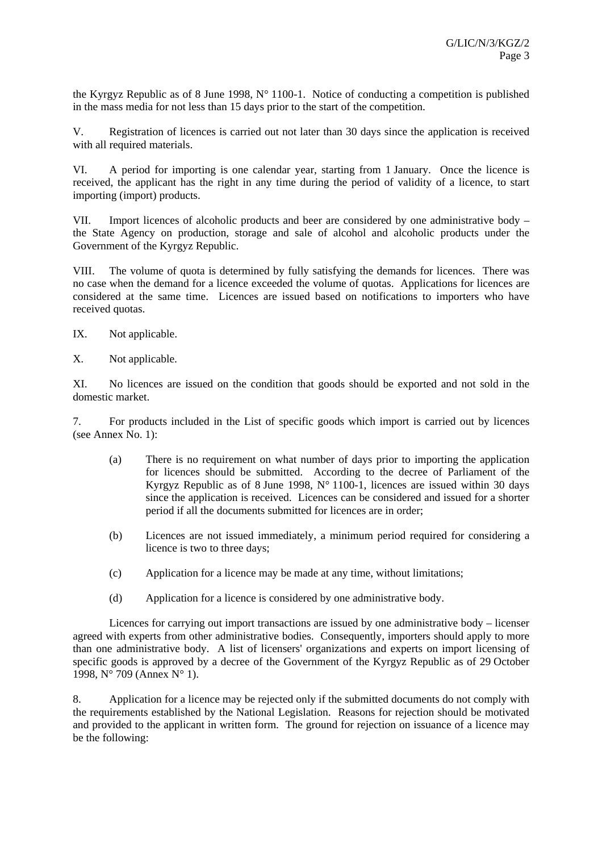the Kyrgyz Republic as of 8 June 1998, N° 1100-1. Notice of conducting a competition is published in the mass media for not less than 15 days prior to the start of the competition.

V. Registration of licences is carried out not later than 30 days since the application is received with all required materials.

VI. A period for importing is one calendar year, starting from 1 January. Once the licence is received, the applicant has the right in any time during the period of validity of a licence, to start importing (import) products.

VII. Import licences of alcoholic products and beer are considered by one administrative body – the State Agency on production, storage and sale of alcohol and alcoholic products under the Government of the Kyrgyz Republic.

VIII. The volume of quota is determined by fully satisfying the demands for licences. There was no case when the demand for a licence exceeded the volume of quotas. Applications for licences are considered at the same time. Licences are issued based on notifications to importers who have received quotas.

IX. Not applicable.

X. Not applicable.

XI. No licences are issued on the condition that goods should be exported and not sold in the domestic market.

7. For products included in the List of specific goods which import is carried out by licences (see Annex No. 1):

- (a) There is no requirement on what number of days prior to importing the application for licences should be submitted. According to the decree of Parliament of the Kyrgyz Republic as of 8 June 1998,  $N^{\circ}$  1100-1, licences are issued within 30 days since the application is received. Licences can be considered and issued for a shorter period if all the documents submitted for licences are in order;
- (b) Licences are not issued immediately, a minimum period required for considering a licence is two to three days;
- (c) Application for a licence may be made at any time, without limitations;
- (d) Application for a licence is considered by one administrative body.

Licences for carrying out import transactions are issued by one administrative body – licenser agreed with experts from other administrative bodies. Consequently, importers should apply to more than one administrative body. A list of licensers' organizations and experts on import licensing of specific goods is approved by a decree of the Government of the Kyrgyz Republic as of 29 October 1998, N° 709 (Annex N° 1).

8. Application for a licence may be rejected only if the submitted documents do not comply with the requirements established by the National Legislation. Reasons for rejection should be motivated and provided to the applicant in written form. The ground for rejection on issuance of a licence may be the following: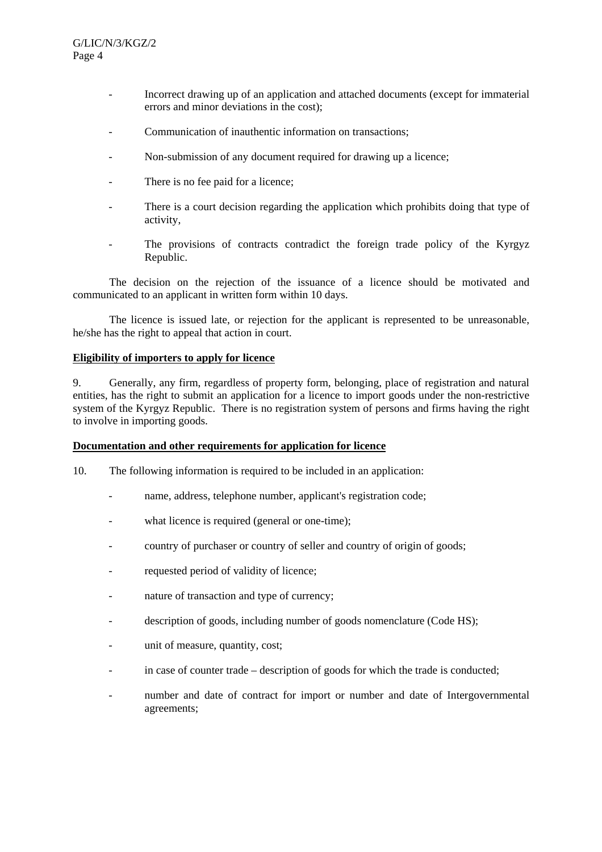- Incorrect drawing up of an application and attached documents (except for immaterial errors and minor deviations in the cost);
- Communication of inauthentic information on transactions;
- Non-submission of any document required for drawing up a licence;
- There is no fee paid for a licence;
- There is a court decision regarding the application which prohibits doing that type of activity,
- The provisions of contracts contradict the foreign trade policy of the Kyrgyz Republic.

The decision on the rejection of the issuance of a licence should be motivated and communicated to an applicant in written form within 10 days.

The licence is issued late, or rejection for the applicant is represented to be unreasonable, he/she has the right to appeal that action in court.

#### **Eligibility of importers to apply for licence**

9. Generally, any firm, regardless of property form, belonging, place of registration and natural entities, has the right to submit an application for a licence to import goods under the non-restrictive system of the Kyrgyz Republic. There is no registration system of persons and firms having the right to involve in importing goods.

#### **Documentation and other requirements for application for licence**

- 10. The following information is required to be included in an application:
	- name, address, telephone number, applicant's registration code;
	- what licence is required (general or one-time);
	- country of purchaser or country of seller and country of origin of goods;
	- requested period of validity of licence;
	- nature of transaction and type of currency;
	- description of goods, including number of goods nomenclature (Code HS);
	- unit of measure, quantity, cost;
	- in case of counter trade description of goods for which the trade is conducted;
	- number and date of contract for import or number and date of Intergovernmental agreements;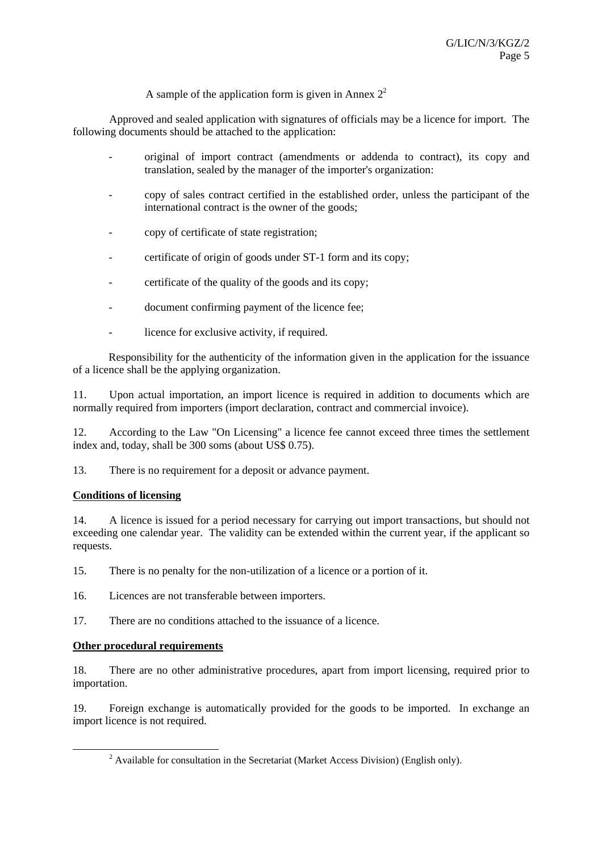A sample of the application form is given in Annex  $2^2$ 

 Approved and sealed application with signatures of officials may be a licence for import. The following documents should be attached to the application:

- original of import contract (amendments or addenda to contract), its copy and translation, sealed by the manager of the importer's organization:
- copy of sales contract certified in the established order, unless the participant of the international contract is the owner of the goods;
- copy of certificate of state registration;
- certificate of origin of goods under ST-1 form and its copy;
- certificate of the quality of the goods and its copy;
- document confirming payment of the licence fee;
- licence for exclusive activity, if required.

Responsibility for the authenticity of the information given in the application for the issuance of a licence shall be the applying organization.

11. Upon actual importation, an import licence is required in addition to documents which are normally required from importers (import declaration, contract and commercial invoice).

12. According to the Law "On Licensing" a licence fee cannot exceed three times the settlement index and, today, shall be 300 soms (about US\$ 0.75).

13. There is no requirement for a deposit or advance payment.

#### **Conditions of licensing**

14. A licence is issued for a period necessary for carrying out import transactions, but should not exceeding one calendar year. The validity can be extended within the current year, if the applicant so requests.

15. There is no penalty for the non-utilization of a licence or a portion of it.

16. Licences are not transferable between importers.

17. There are no conditions attached to the issuance of a licence.

#### **Other procedural requirements**

18. There are no other administrative procedures, apart from import licensing, required prior to importation.

19. Foreign exchange is automatically provided for the goods to be imported. In exchange an import licence is not required.

 $\frac{1}{2}$  $^2$  Available for consultation in the Secretariat (Market Access Division) (English only).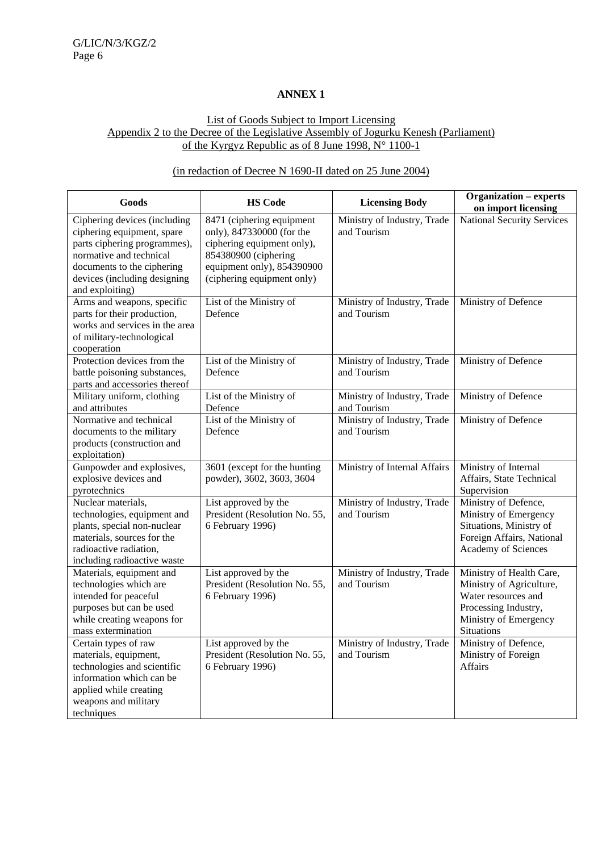## **ANNEX 1**

## List of Goods Subject to Import Licensing Appendix 2 to the Decree of the Legislative Assembly of Jogurku Kenesh (Parliament) of the Kyrgyz Republic as of 8 June 1998, N° 1100-1

## (in redaction of Decree N 1690-II dated on 25 June 2004)

| Goods                                                                                                                                                                                                  | <b>HS Code</b>                                                                                                                                                           | <b>Licensing Body</b>                      | <b>Organization – experts</b><br>on import licensing                                                                                              |
|--------------------------------------------------------------------------------------------------------------------------------------------------------------------------------------------------------|--------------------------------------------------------------------------------------------------------------------------------------------------------------------------|--------------------------------------------|---------------------------------------------------------------------------------------------------------------------------------------------------|
| Ciphering devices (including<br>ciphering equipment, spare<br>parts ciphering programmes),<br>normative and technical<br>documents to the ciphering<br>devices (including designing<br>and exploiting) | 8471 (ciphering equipment<br>only), 847330000 (for the<br>ciphering equipment only),<br>854380900 (ciphering<br>equipment only), 854390900<br>(ciphering equipment only) | Ministry of Industry, Trade<br>and Tourism | <b>National Security Services</b>                                                                                                                 |
| Arms and weapons, specific<br>parts for their production,<br>works and services in the area<br>of military-technological<br>cooperation                                                                | List of the Ministry of<br>Defence                                                                                                                                       | Ministry of Industry, Trade<br>and Tourism | Ministry of Defence                                                                                                                               |
| Protection devices from the<br>battle poisoning substances,<br>parts and accessories thereof                                                                                                           | List of the Ministry of<br>Defence                                                                                                                                       | Ministry of Industry, Trade<br>and Tourism | Ministry of Defence                                                                                                                               |
| Military uniform, clothing<br>and attributes                                                                                                                                                           | List of the Ministry of<br>Defence                                                                                                                                       | Ministry of Industry, Trade<br>and Tourism | Ministry of Defence                                                                                                                               |
| Normative and technical<br>documents to the military<br>products (construction and<br>exploitation)                                                                                                    | List of the Ministry of<br>Defence                                                                                                                                       | Ministry of Industry, Trade<br>and Tourism | Ministry of Defence                                                                                                                               |
| Gunpowder and explosives,<br>explosive devices and<br>pyrotechnics                                                                                                                                     | 3601 (except for the hunting<br>powder), 3602, 3603, 3604                                                                                                                | Ministry of Internal Affairs               | Ministry of Internal<br>Affairs, State Technical<br>Supervision                                                                                   |
| Nuclear materials,<br>technologies, equipment and<br>plants, special non-nuclear<br>materials, sources for the<br>radioactive radiation,<br>including radioactive waste                                | List approved by the<br>President (Resolution No. 55,<br>6 February 1996)                                                                                                | Ministry of Industry, Trade<br>and Tourism | Ministry of Defence,<br>Ministry of Emergency<br>Situations, Ministry of<br>Foreign Affairs, National<br>Academy of Sciences                      |
| Materials, equipment and<br>technologies which are<br>intended for peaceful<br>purposes but can be used<br>while creating weapons for<br>mass extermination                                            | List approved by the<br>President (Resolution No. 55,<br>6 February 1996)                                                                                                | Ministry of Industry, Trade<br>and Tourism | Ministry of Health Care,<br>Ministry of Agriculture,<br>Water resources and<br>Processing Industry,<br>Ministry of Emergency<br><b>Situations</b> |
| Certain types of raw<br>materials, equipment,<br>technologies and scientific<br>information which can be<br>applied while creating<br>weapons and military<br>techniques                               | List approved by the<br>President (Resolution No. 55,<br>6 February 1996)                                                                                                | Ministry of Industry, Trade<br>and Tourism | Ministry of Defence,<br>Ministry of Foreign<br>Affairs                                                                                            |